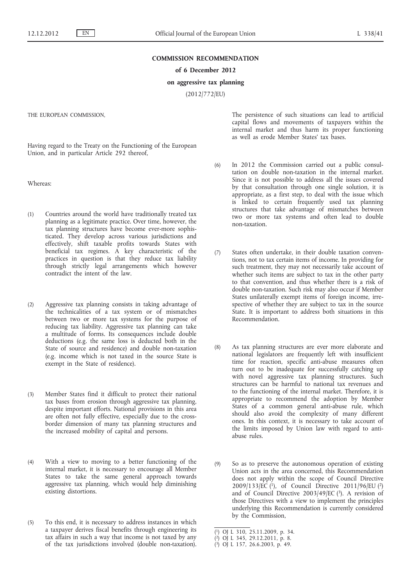## **COMMISSION RECOMMENDATION**

**of 6 December 2012**

## **on aggressive tax planning**

(2012/772/EU)

THE EUROPEAN COMMISSION,

Having regard to the Treaty on the Functioning of the European Union, and in particular Article 292 thereof,

Whereas:

- (1) Countries around the world have traditionally treated tax planning as a legitimate practice. Over time, however, the tax planning structures have become ever-more sophisticated. They develop across various jurisdictions and effectively, shift taxable profits towards States with beneficial tax regimes. A key characteristic of the practices in question is that they reduce tax liability through strictly legal arrangements which however contradict the intent of the law.
- (2) Aggressive tax planning consists in taking advantage of the technicalities of a tax system or of mismatches between two or more tax systems for the purpose of reducing tax liability. Aggressive tax planning can take a multitude of forms. Its consequences include double deductions (e.g. the same loss is deducted both in the State of source and residence) and double non-taxation (e.g. income which is not taxed in the source State is exempt in the State of residence).
- (3) Member States find it difficult to protect their national tax bases from erosion through aggressive tax planning, despite important efforts. National provisions in this area are often not fully effective, especially due to the crossborder dimension of many tax planning structures and the increased mobility of capital and persons.
- (4) With a view to moving to a better functioning of the internal market, it is necessary to encourage all Member States to take the same general approach towards aggressive tax planning, which would help diminishing existing distortions.
- (5) To this end, it is necessary to address instances in which a taxpayer derives fiscal benefits through engineering its tax affairs in such a way that income is not taxed by any of the tax jurisdictions involved (double non-taxation).

The persistence of such situations can lead to artificial capital flows and movements of taxpayers within the internal market and thus harm its proper functioning as well as erode Member States' tax bases.

- (6) In 2012 the Commission carried out a public consultation on double non-taxation in the internal market. Since it is not possible to address all the issues covered by that consultation through one single solution, it is appropriate, as a first step, to deal with the issue which is linked to certain frequently used tax planning structures that take advantage of mismatches between two or more tax systems and often lead to double non-taxation.
- (7) States often undertake, in their double taxation conventions, not to tax certain items of income. In providing for such treatment, they may not necessarily take account of whether such items are subject to tax in the other party to that convention, and thus whether there is a risk of double non-taxation. Such risk may also occur if Member States unilaterally exempt items of foreign income, irrespective of whether they are subject to tax in the source State. It is important to address both situations in this Recommendation.
- (8) As tax planning structures are ever more elaborate and national legislators are frequently left with insufficient time for reaction, specific anti-abuse measures often turn out to be inadequate for successfully catching up with novel aggressive tax planning structures. Such structures can be harmful to national tax revenues and to the functioning of the internal market. Therefore, it is appropriate to recommend the adoption by Member States of a common general anti-abuse rule, which should also avoid the complexity of many different ones. In this context, it is necessary to take account of the limits imposed by Union law with regard to antiabuse rules.
- (9) So as to preserve the autonomous operation of existing Union acts in the area concerned, this Recommendation does not apply within the scope of Council Directive  $2009/133/\overline{EC}$  (1), of Council Directive 2011/96/EU (2) and of Council Directive  $2003/49/EC$  (3). A revision of those Directives with a view to implement the principles underlying this Recommendation is currently considered by the Commission,

<sup>(</sup> 1) OJ L 310, 25.11.2009, p. 34.

<sup>(</sup> 2) OJ L 345, 29.12.2011, p. 8.

<sup>(</sup> 3) OJ L 157, 26.6.2003, p. 49.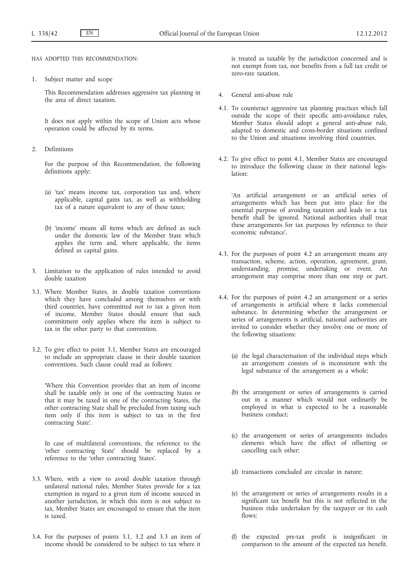HAS ADOPTED THIS RECOMMENDATION:

1. Subject matter and scope

This Recommendation addresses aggressive tax planning in the area of direct taxation.

It does not apply within the scope of Union acts whose operation could be affected by its terms.

2. Definitions

For the purpose of this Recommendation, the following definitions apply:

- (a) 'tax' means income tax, corporation tax and, where applicable, capital gains tax, as well as withholding tax of a nature equivalent to any of these taxes;
- (b) 'income' means all items which are defined as such under the domestic law of the Member State which applies the term and, where applicable, the items defined as capital gains.
- 3. Limitation to the application of rules intended to avoid double taxation
- 3.1. Where Member States, in double taxation conventions which they have concluded among themselves or with third countries, have committed not to tax a given item of income, Member States should ensure that such commitment only applies where the item is subject to tax in the other party to that convention.
- 3.2. To give effect to point 3.1, Member States are encouraged to include an appropriate clause in their double taxation conventions. Such clause could read as follows:

'Where this Convention provides that an item of income shall be taxable only in one of the contracting States or that it may be taxed in one of the contracting States, the other contracting State shall be precluded from taxing such item only if this item is subject to tax in the first contracting State'.

In case of multilateral conventions, the reference to the 'other contracting State' should be replaced by a reference to the 'other contracting States'.

- 3.3. Where, with a view to avoid double taxation through unilateral national rules, Member States provide for a tax exemption in regard to a given item of income sourced in another jurisdiction, in which this item is not subject to tax, Member States are encouraged to ensure that the item is taxed.
- 3.4. For the purposes of points 3.1, 3.2 and 3.3 an item of income should be considered to be subject to tax where it

is treated as taxable by the jurisdiction concerned and is not exempt from tax, nor benefits from a full tax credit or zero-rate taxation.

- 4. General anti-abuse rule
- 4.1. To counteract aggressive tax planning practices which fall outside the scope of their specific anti-avoidance rules, Member States should adopt a general anti-abuse rule, adapted to domestic and cross-border situations confined to the Union and situations involving third countries.
- 4.2. To give effect to point 4.1, Member States are encouraged to introduce the following clause in their national legislation:

'An artificial arrangement or an artificial series of arrangements which has been put into place for the essential purpose of avoiding taxation and leads to a tax benefit shall be ignored. National authorities shall treat these arrangements for tax purposes by reference to their economic substance'.

- 4.3. For the purposes of point 4.2 an arrangement means any transaction, scheme, action, operation, agreement, grant, understanding, promise, undertaking or event. An arrangement may comprise more than one step or part.
- 4.4. For the purposes of point 4.2 an arrangement or a series of arrangements is artificial where it lacks commercial substance. In determining whether the arrangement or series of arrangements is artificial, national authorities are invited to consider whether they involve one or more of the following situations:
	- (a) the legal characterisation of the individual steps which an arrangement consists of is inconsistent with the legal substance of the arrangement as a whole;
	- (b) the arrangement or series of arrangements is carried out in a manner which would not ordinarily be employed in what is expected to be a reasonable business conduct;
	- (c) the arrangement or series of arrangements includes elements which have the effect of offsetting or cancelling each other;
	- (d) transactions concluded are circular in nature;
	- (e) the arrangement or series of arrangements results in a significant tax benefit but this is not reflected in the business risks undertaken by the taxpayer or its cash flows:
	- (f) the expected pre-tax profit is insignificant in comparison to the amount of the expected tax benefit.